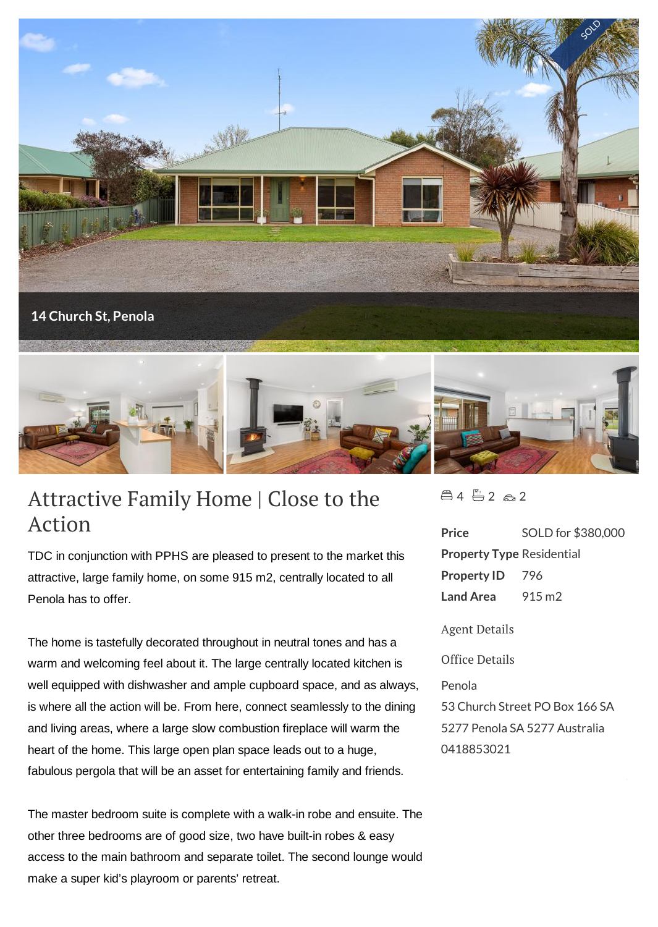

## Attractive Family Home | Close to the Action

TDC in conjunction with PPHS are pleased to present to the market this attractive, large family home, on some 915 m2, centrally located to all Penola has to offer.

The home is tastefully decorated throughout in neutral tones and has a warm and welcoming feel about it. The large centrally located kitchen is well equipped with dishwasher and ample cupboard space, and as always, is where all the action will be. From here, connect seamlessly to the dining and living areas, where a large slow combustion fireplace will warm the heart of the home. This large open plan space leads out to a huge, fabulous pergola that will be an asset for entertaining family and friends.

The master bedroom suite is complete with a walk-in robe and ensuite. The other three bedrooms are of good size, two have built-in robes & easy access to the main bathroom and separate toilet. The second lounge would make a super kid's playroom or parents' retreat.

 $4 - 2 - 2$ 

**Price** SOLD for \$380,000 **Property Type** Residential **Property ID** 796 **Land Area** 915 m2 Agent Details Office Details Penola 53 Church Street PO Box 166 SA 5277 Penola SA 5277 Australia 0418853021